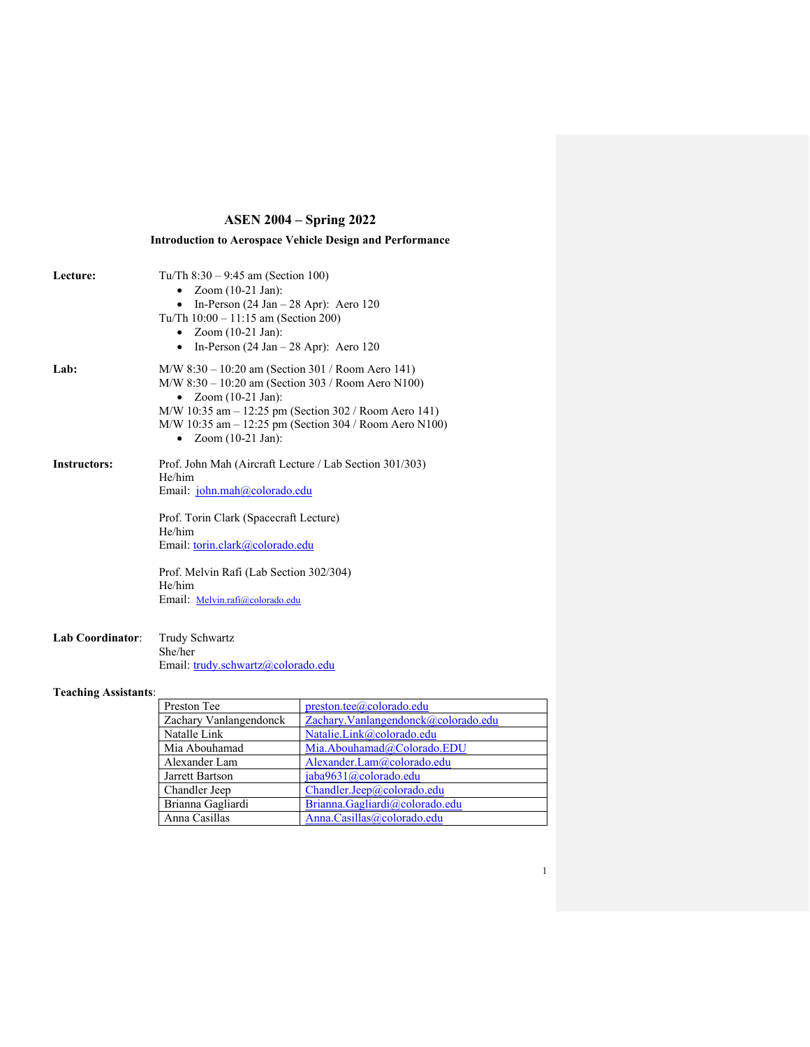# **ASEN 2004 – Spring 2022**

**Introduction to Aerospace Vehicle Design and Performance**

| Lecture:                    | Tu/Th $8:30 - 9:45$ am (Section 100)<br>Zoom $(10-21$ Jan):<br>In-Person $(24 \text{ Jan} - 28 \text{ Apr})$ : Aero 120<br>$\bullet$<br>Tu/Th 10:00 - 11:15 am (Section 200)<br>Zoom $(10-21$ Jan):<br>In-Person $(24 \text{ Jan} - 28 \text{ Apr})$ : Aero 120<br>$\bullet$                                 |  |  |
|-----------------------------|--------------------------------------------------------------------------------------------------------------------------------------------------------------------------------------------------------------------------------------------------------------------------------------------------------------|--|--|
| Lab:                        | $M/W$ 8:30 – 10:20 am (Section 301 / Room Aero 141)<br>$M/W$ 8:30 – 10:20 am (Section 303 / Room Aero N100)<br>Zoom $(10-21$ Jan):<br>$\bullet$<br>$M/W$ 10:35 am $-$ 12:25 pm (Section 302 / Room Aero 141)<br>$M/W$ 10:35 am $-$ 12:25 pm (Section 304 / Room Aero N100)<br>• Zoom $(10-21 \text{ Jan})$ : |  |  |
| <b>Instructors:</b>         | Prof. John Mah (Aircraft Lecture / Lab Section 301/303)<br>He/him<br>Email: john.mah@colorado.edu<br>Prof. Torin Clark (Spacecraft Lecture)<br>He/him<br>Email: torin.clark@colorado.edu<br>Prof. Melvin Rafi (Lab Section 302/304)<br>He/him<br>Email: Melvin.rafi@colorado.edu                             |  |  |
| Lab Coordinator:            | Trudy Schwartz<br>She/her<br>Email: trudy.schwartz@colorado.edu                                                                                                                                                                                                                                              |  |  |
| <b>Teaching Assistants:</b> |                                                                                                                                                                                                                                                                                                              |  |  |

# Preston Tee [preston.tee@colorado.edu](mailto:preston.tee@colorado.edu) Zachary Vanlangendonck | [Zachary.Vanlangendonck@colorado.edu](mailto:Zachary.Vanlangendonck@colorado.edu) Natalle Link [Natalie.Link@colorado.edu](mailto:Natalie.Link@colorado.edu) Mia Abouhamad [Mia.Abouhamad@Colorado.EDU](mailto:Mia.Abouhamad@Colorado.EDU)<br>Alexander Lam Alexander.Lam@colorado.edu [Alexander.Lam@colorado.edu](mailto:Alexander.Lam@colorado.edu) Jarrett Bartson [jaba9631@colorado.edu](mailto:jaba9631@colorado.edu) Chandler Jeep [Chandler.Jeep@colorado.edu](mailto:Chandler.Jeep@colorado.edu)<br>Brianna Gagliardi Brianna.Gagliardi@colorado.e Brianna Gagliardi [Brianna.Gagliardi@colorado.edu](mailto:Brianna.Gagliardi@colorado.edu)<br>Anna Casillas Anna.Casillas@colorado.edu [Anna.Casillas@colorado.edu](mailto:Anna.Casillas@colorado.edu)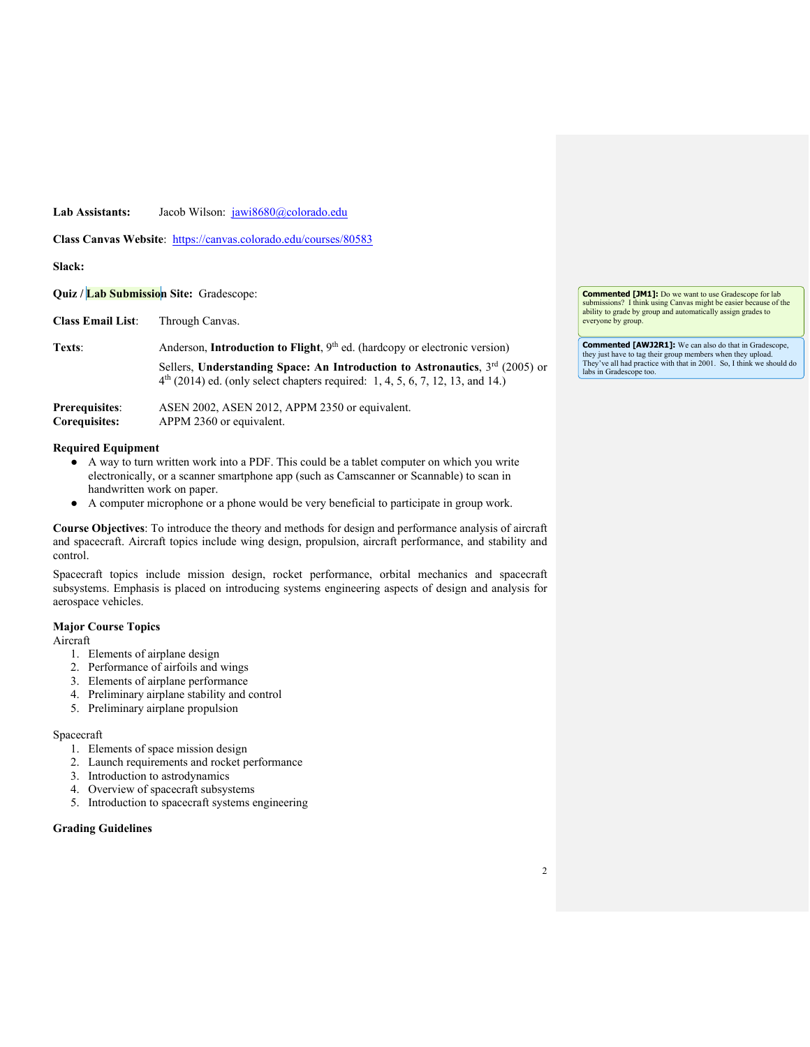### Lab Assistants: Jacob Wilson: [jawi8680@colorado.edu](mailto:jawi8680@colorado.edu)

Class Canvas Website: <https://canvas.colorado.edu/courses/80583>

### **Slack:**

**Quiz / Lab Submission Site:** Gradescope:

**Class Email List**: Through Canvas.

Texts: Anderson, **Introduction to Flight**, 9<sup>th</sup> ed. (hardcopy or electronic version)

Sellers, **Understanding Space: An Introduction to Astronautics**, 3rd (2005) or  $4<sup>th</sup>$  (2014) ed. (only select chapters required: 1, 4, 5, 6, 7, 12, 13, and 14.)

| Prerequisites: | ASEN 2002, ASEN 2012, APPM 2350 or equivalent. |
|----------------|------------------------------------------------|
| Corequisites:  | APPM 2360 or equivalent.                       |

### **Required Equipment**

- A way to turn written work into a PDF. This could be a tablet computer on which you write electronically, or a scanner smartphone app (such as Camscanner or Scannable) to scan in handwritten work on paper.
- A computer microphone or a phone would be very beneficial to participate in group work.

**Course Objectives**: To introduce the theory and methods for design and performance analysis of aircraft and spacecraft. Aircraft topics include wing design, propulsion, aircraft performance, and stability and control.

Spacecraft topics include mission design, rocket performance, orbital mechanics and spacecraft subsystems. Emphasis is placed on introducing systems engineering aspects of design and analysis for aerospace vehicles.

#### **Major Course Topics**

Aircraft

- 1. Elements of airplane design
- 2. Performance of airfoils and wings
- 3. Elements of airplane performance
- 4. Preliminary airplane stability and control
- 5. Preliminary airplane propulsion

#### Spacecraft

- 1. Elements of space mission design
- 2. Launch requirements and rocket performance
- 3. Introduction to astrodynamics
- 4. Overview of spacecraft subsystems
- 5. Introduction to spacecraft systems engineering

### **Grading Guidelines**

**Commented [JM1]:** Do we want to use Gradescope for lab submissions? I think using Canvas might be easier because of the ability to grade by group and automatically assign grades to everyone by group.

**Commented [AWJ2R1]:** We can also do that in Gradescope, they just have to tag their group members when they upload. They've all had practice with that in 2001. So, I think we should do labs in Gradescope too.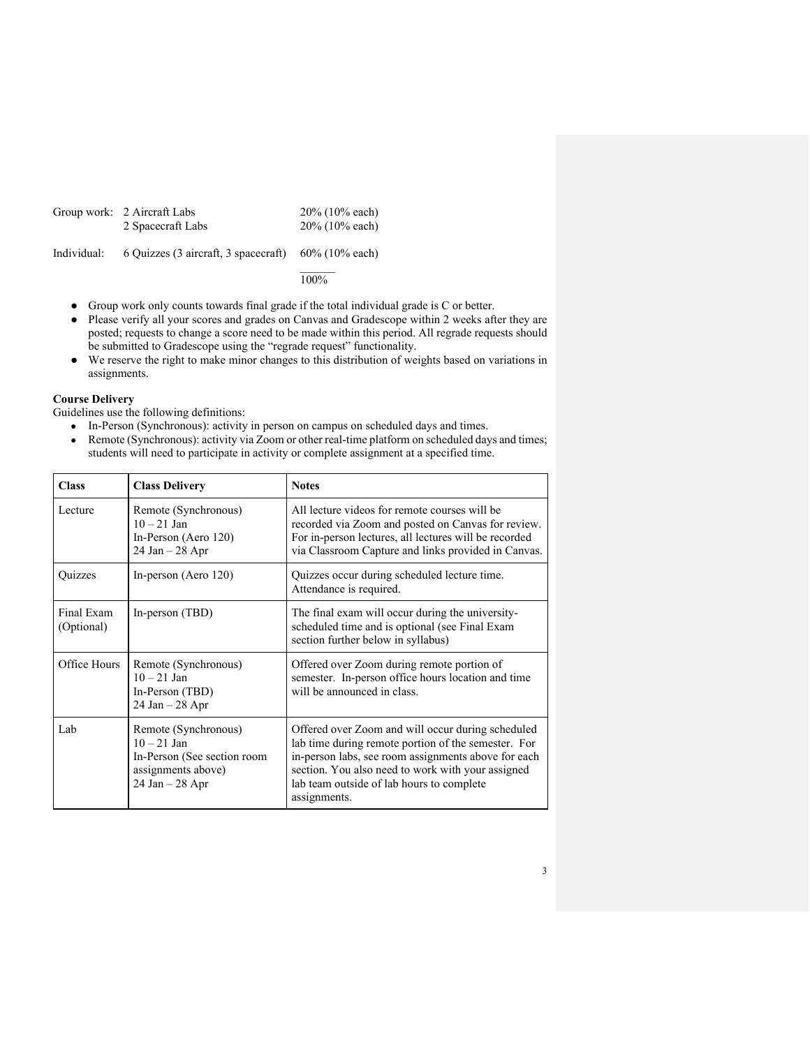| Group work: 2 Aircraft Labs | $20\%$ (10% each) |
|-----------------------------|-------------------|
| 2 Spacecraft Labs           | $20\%$ (10% each) |

Individual: 6 Quizzes (3 aircraft, 3 spacecraft) 60% (10% each)

#### $\mathcal{L}$ 100%

- Group work only counts towards final grade if the total individual grade is C or better.
- Please verify all your scores and grades on Canvas and Gradescope within 2 weeks after they are posted; requests to change a score need to be made within this period. All regrade requests should be submitted to Gradescope using the "regrade request" functionality.
- We reserve the right to make minor changes to this distribution of weights based on variations in assignments.

# **Course Delivery**

Guidelines use the following definitions:

- In-Person (Synchronous): activity in person on campus on scheduled days and times.
- Remote (Synchronous): activity via Zoom or other real-time platform on scheduled days and times; students will need to participate in activity or complete assignment at a specified time.

| <b>Class</b>             | <b>Class Delivery</b>                                                                                            | <b>Notes</b>                                                                                                                                                                                                                                                                      |
|--------------------------|------------------------------------------------------------------------------------------------------------------|-----------------------------------------------------------------------------------------------------------------------------------------------------------------------------------------------------------------------------------------------------------------------------------|
| Lecture.                 | Remote (Synchronous)<br>$10 - 21$ Jan<br>In-Person (Aero 120)<br>$24$ Jan $-28$ Apr                              | All lecture videos for remote courses will be<br>recorded via Zoom and posted on Canvas for review.<br>For in-person lectures, all lectures will be recorded<br>via Classroom Capture and links provided in Canvas.                                                               |
| <b>Ouizzes</b>           | In-person (Aero 120)                                                                                             | Quizzes occur during scheduled lecture time.<br>Attendance is required.                                                                                                                                                                                                           |
| Final Exam<br>(Optional) | In-person (TBD)                                                                                                  | The final exam will occur during the university-<br>scheduled time and is optional (see Final Exam<br>section further below in syllabus)                                                                                                                                          |
| Office Hours             | Remote (Synchronous)<br>$10 - 21$ Jan<br>In-Person (TBD)<br>$24$ Jan $-28$ Apr                                   | Offered over Zoom during remote portion of<br>semester. In-person office hours location and time<br>will be announced in class.                                                                                                                                                   |
| Lab                      | Remote (Synchronous)<br>$10 - 21$ Jan<br>In-Person (See section room<br>assignments above)<br>$24$ Jan $-28$ Apr | Offered over Zoom and will occur during scheduled<br>lab time during remote portion of the semester. For<br>in-person labs, see room assignments above for each<br>section. You also need to work with your assigned<br>lab team outside of lab hours to complete<br>assignments. |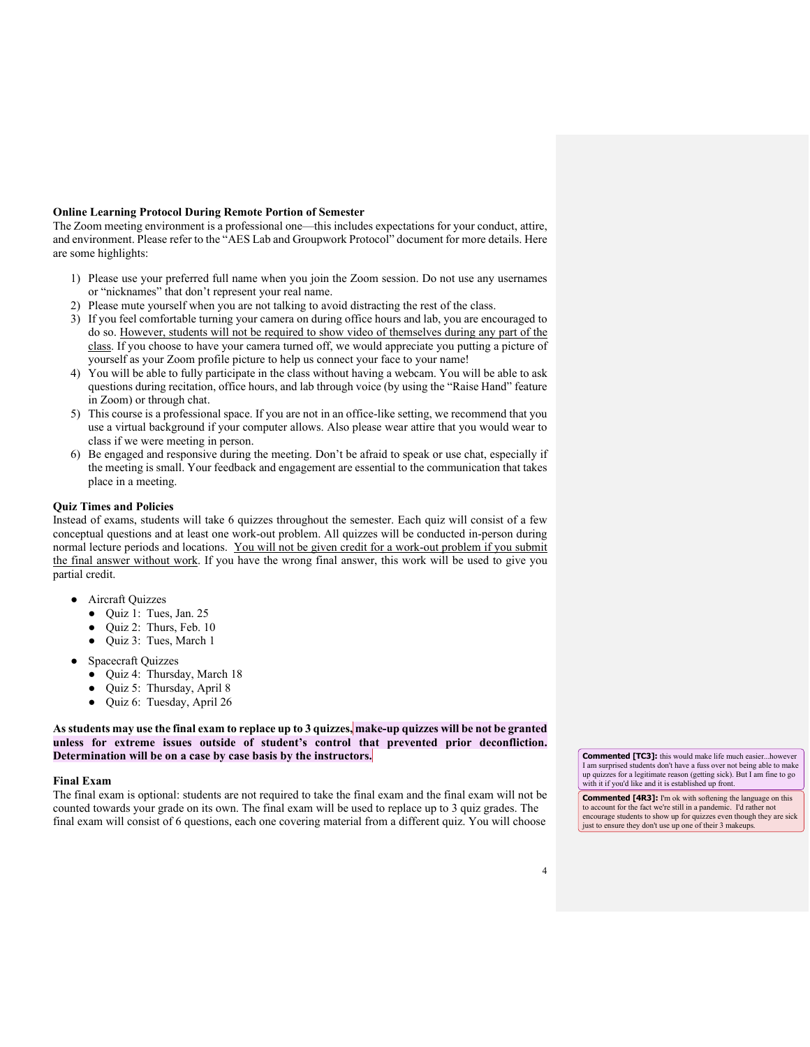### **Online Learning Protocol During Remote Portion of Semester**

The Zoom meeting environment is a professional one—this includes expectations for your conduct, attire, and environment. Please refer to the "AES Lab and Groupwork Protocol" document for more details. Here are some highlights:

- 1) Please use your preferred full name when you join the Zoom session. Do not use any usernames or "nicknames" that don't represent your real name.
- 2) Please mute yourself when you are not talking to avoid distracting the rest of the class.
- 3) If you feel comfortable turning your camera on during office hours and lab, you are encouraged to do so. However, students will not be required to show video of themselves during any part of the class. If you choose to have your camera turned off, we would appreciate you putting a picture of yourself as your Zoom profile picture to help us connect your face to your name!
- 4) You will be able to fully participate in the class without having a webcam. You will be able to ask questions during recitation, office hours, and lab through voice (by using the "Raise Hand" feature in Zoom) or through chat.
- 5) This course is a professional space. If you are not in an office-like setting, we recommend that you use a virtual background if your computer allows. Also please wear attire that you would wear to class if we were meeting in person.
- 6) Be engaged and responsive during the meeting. Don't be afraid to speak or use chat, especially if the meeting is small. Your feedback and engagement are essential to the communication that takes place in a meeting.

#### **Quiz Times and Policies**

Instead of exams, students will take 6 quizzes throughout the semester. Each quiz will consist of a few conceptual questions and at least one work-out problem. All quizzes will be conducted in-person during normal lecture periods and locations. You will not be given credit for a work-out problem if you submit the final answer without work. If you have the wrong final answer, this work will be used to give you partial credit.

- Aircraft Quizzes
	- Quiz 1: Tues, Jan. 25
	- Quiz 2: Thurs, Feb. 10
	- Quiz 3: Tues, March 1
- **Spacecraft Quizzes** 
	- Quiz 4: Thursday, March 18
	- Quiz 5: Thursday, April 8
	- Quiz 6: Tuesday, April 26

**As students may use the final exam to replace up to 3 quizzes, make-up quizzes will be not be granted unless for extreme issues outside of student's control that prevented prior deconfliction. Determination will be on a case by case basis by the instructors.**

#### **Final Exam**

The final exam is optional: students are not required to take the final exam and the final exam will not be counted towards your grade on its own. The final exam will be used to replace up to 3 quiz grades. The final exam will consist of 6 questions, each one covering material from a different quiz. You will choose **Commented [TC3]:** this would make life much easier...however I am surprised students don't have a fuss over not being able to make up quizzes for a legitimate reason (getting sick). But I am fine to go with it if you'd like and it is established up front.

**Commented [4R3]:** I'm ok with softening the language on this to account for the fact we're still in a pandemic. I'd rather not encourage students to show up for quizzes even though they are sick just to ensure they don't use up one of their 3 makeups.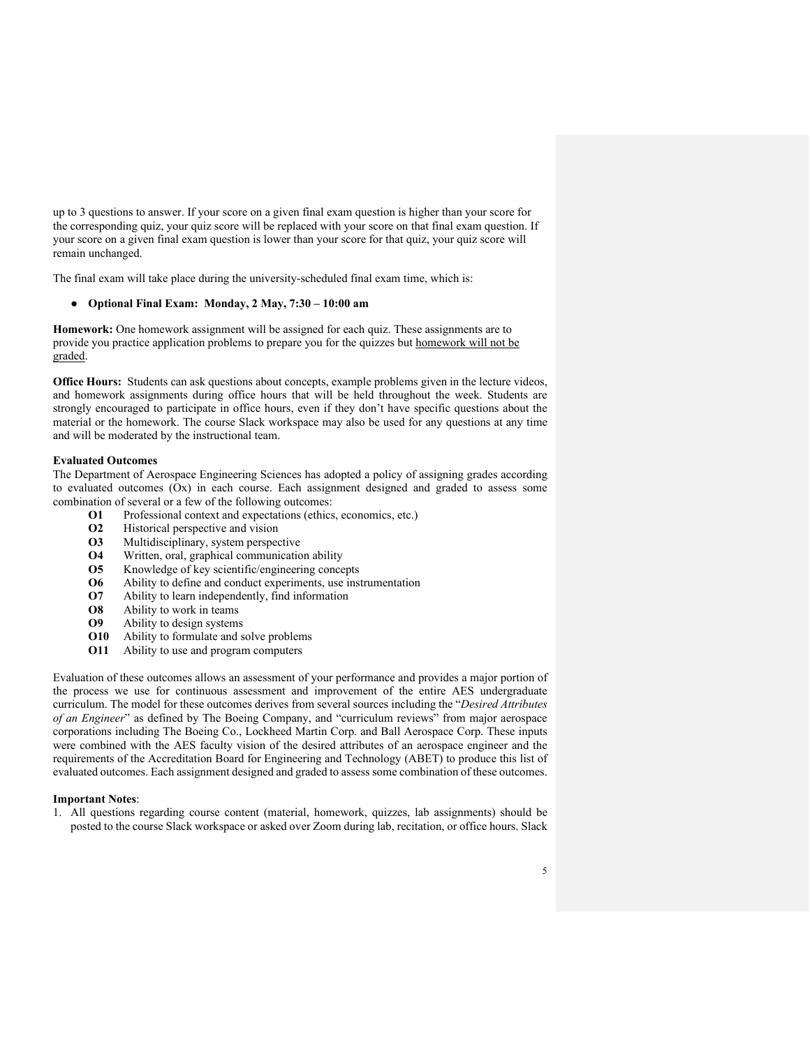up to 3 questions to answer. If your score on a given final exam question is higher than your score for the corresponding quiz, your quiz score will be replaced with your score on that final exam question. If your score on a given final exam question is lower than your score for that quiz, your quiz score will remain unchanged.

The final exam will take place during the university-scheduled final exam time, which is:

### ● **Optional Final Exam: Monday, 2 May, 7:30 – 10:00 am**

**Homework:** One homework assignment will be assigned for each quiz. These assignments are to provide you practice application problems to prepare you for the quizzes but homework will not be graded.

**Office Hours:** Students can ask questions about concepts, example problems given in the lecture videos, and homework assignments during office hours that will be held throughout the week. Students are strongly encouraged to participate in office hours, even if they don't have specific questions about the material or the homework. The course Slack workspace may also be used for any questions at any time and will be moderated by the instructional team.

#### **Evaluated Outcomes**

The Department of Aerospace Engineering Sciences has adopted a policy of assigning grades according to evaluated outcomes (Ox) in each course. Each assignment designed and graded to assess some combination of several or a few of the following outcomes:

- **O1** Professional context and expectations (ethics, economics, etc.)
- **O2** Historical perspective and vision
- **O3** Multidisciplinary, system perspective
- **O4** Written, oral, graphical communication ability
- **O5** Knowledge of key scientific/engineering concepts
- **O6** Ability to define and conduct experiments, use instrumentation
- **O7** Ability to learn independently, find information
- **O8** Ability to work in teams
- **O9** Ability to design systems
- **O10** Ability to formulate and solve problems
- **O11** Ability to use and program computers

Evaluation of these outcomes allows an assessment of your performance and provides a major portion of the process we use for continuous assessment and improvement of the entire AES undergraduate curriculum. The model for these outcomes derives from several sources including the "*Desired Attributes of an Engineer*" as defined by The Boeing Company, and "curriculum reviews" from major aerospace corporations including The Boeing Co., Lockheed Martin Corp. and Ball Aerospace Corp. These inputs were combined with the AES faculty vision of the desired attributes of an aerospace engineer and the requirements of the Accreditation Board for Engineering and Technology (ABET) to produce this list of evaluated outcomes. Each assignment designed and graded to assess some combination of these outcomes.

#### **Important Notes**:

1. All questions regarding course content (material, homework, quizzes, lab assignments) should be posted to the course Slack workspace or asked over Zoom during lab, recitation, or office hours. Slack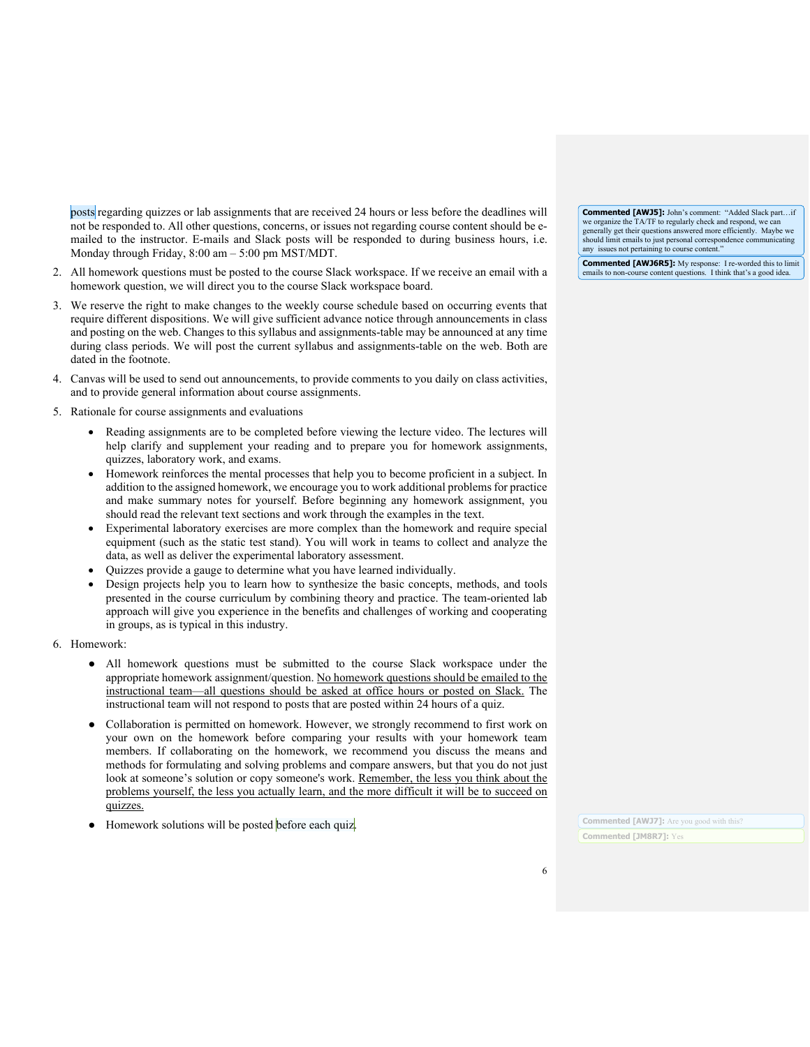posts regarding quizzes or lab assignments that are received 24 hours or less before the deadlines will not be responded to. All other questions, concerns, or issues not regarding course content should be emailed to the instructor. E-mails and Slack posts will be responded to during business hours, i.e. Monday through Friday, 8:00 am – 5:00 pm MST/MDT.

- 2. All homework questions must be posted to the course Slack workspace. If we receive an email with a homework question, we will direct you to the course Slack workspace board.
- 3. We reserve the right to make changes to the weekly course schedule based on occurring events that require different dispositions. We will give sufficient advance notice through announcements in class and posting on the web. Changes to this syllabus and assignments-table may be announced at any time during class periods. We will post the current syllabus and assignments-table on the web. Both are dated in the footnote.
- 4. Canvas will be used to send out announcements, to provide comments to you daily on class activities, and to provide general information about course assignments.
- 5. Rationale for course assignments and evaluations
	- Reading assignments are to be completed before viewing the lecture video. The lectures will help clarify and supplement your reading and to prepare you for homework assignments, quizzes, laboratory work, and exams.
	- Homework reinforces the mental processes that help you to become proficient in a subject. In addition to the assigned homework, we encourage you to work additional problems for practice and make summary notes for yourself. Before beginning any homework assignment, you should read the relevant text sections and work through the examples in the text.
	- Experimental laboratory exercises are more complex than the homework and require special equipment (such as the static test stand). You will work in teams to collect and analyze the data, as well as deliver the experimental laboratory assessment.
	- Quizzes provide a gauge to determine what you have learned individually.
	- Design projects help you to learn how to synthesize the basic concepts, methods, and tools presented in the course curriculum by combining theory and practice. The team-oriented lab approach will give you experience in the benefits and challenges of working and cooperating in groups, as is typical in this industry.
- 6. Homework:
	- All homework questions must be submitted to the course Slack workspace under the appropriate homework assignment/question. No homework questions should be emailed to the instructional team—all questions should be asked at office hours or posted on Slack. The instructional team will not respond to posts that are posted within 24 hours of a quiz.
	- Collaboration is permitted on homework. However, we strongly recommend to first work on your own on the homework before comparing your results with your homework team members. If collaborating on the homework, we recommend you discuss the means and methods for formulating and solving problems and compare answers, but that you do not just look at someone's solution or copy someone's work. Remember, the less you think about the problems yourself, the less you actually learn, and the more difficult it will be to succeed on quizzes.
	- Homework solutions will be posted before each quiz.

**Commented [AWJ5]:** John's comment: "Added Slack part…if we organize the TA/TF to regularly check and respond, we can generally get their questions answered more efficiently. Maybe we should limit emails to just personal correspondence communi any issues not pertaining to course content.

**Commented [AWJ6R5]:** My response: I re-worded this to limit emails to non-course content questions. I think that's a good idea.

**Commented [AWJ7]:** Are you good with this? **Commented [JM8R7]:** Yes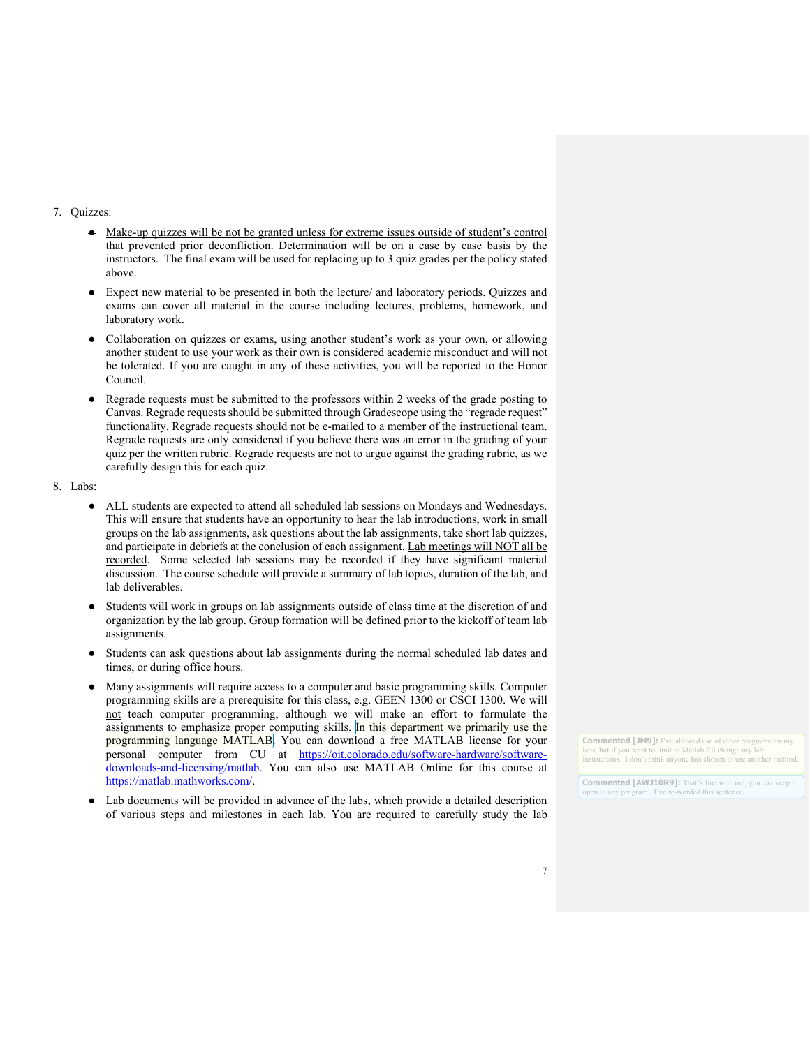#### 7. Quizzes:

- Make-up quizzes will be not be granted unless for extreme issues outside of student's control that prevented prior deconfliction. Determination will be on a case by case basis by the instructors. The final exam will be used for replacing up to 3 quiz grades per the policy stated above.
- Expect new material to be presented in both the lecture/ and laboratory periods. Quizzes and exams can cover all material in the course including lectures, problems, homework, and laboratory work.
- Collaboration on quizzes or exams, using another student's work as your own, or allowing another student to use your work as their own is considered academic misconduct and will not be tolerated. If you are caught in any of these activities, you will be reported to the Honor Council.
- Regrade requests must be submitted to the professors within 2 weeks of the grade posting to Canvas. Regrade requests should be submitted through Gradescope using the "regrade request" functionality. Regrade requests should not be e-mailed to a member of the instructional team. Regrade requests are only considered if you believe there was an error in the grading of your quiz per the written rubric. Regrade requests are not to argue against the grading rubric, as we carefully design this for each quiz.
- 8. Labs:
	- ALL students are expected to attend all scheduled lab sessions on Mondays and Wednesdays. This will ensure that students have an opportunity to hear the lab introductions, work in small groups on the lab assignments, ask questions about the lab assignments, take short lab quizzes, and participate in debriefs at the conclusion of each assignment. Lab meetings will NOT all be recorded. Some selected lab sessions may be recorded if they have significant material discussion. The course schedule will provide a summary of lab topics, duration of the lab, and lab deliverables.
	- Students will work in groups on lab assignments outside of class time at the discretion of and organization by the lab group. Group formation will be defined prior to the kickoff of team lab assignments.
	- Students can ask questions about lab assignments during the normal scheduled lab dates and times, or during office hours.
	- Many assignments will require access to a computer and basic programming skills. Computer programming skills are a prerequisite for this class, e.g. GEEN 1300 or CSCI 1300. We will not teach computer programming, although we will make an effort to formulate the assignments to emphasize proper computing skills. In this department we primarily use the programming language MATLAB. You can download a free MATLAB license for your personal computer from CU at [https://oit.colorado.edu/software-hardware/software](https://oit.colorado.edu/software-hardware/software-downloads-and-licensing/matlab)[downloads-and-licensing/matlab.](https://oit.colorado.edu/software-hardware/software-downloads-and-licensing/matlab) You can also use MATLAB Online for this course at [https://matlab.mathworks.com/.](https://matlab.mathworks.com/)
	- Lab documents will be provided in advance of the labs, which provide a detailed description of various steps and milestones in each lab. You are required to carefully study the lab

**Commented [JM9]:** I've allowed use of other programs for my labs, but if you want to limit to Matlab I'll change my lab instructions. I don't think anyone has chosen to use another i

**Commented [AWJ10R9]:** That's fine with me; you can keep it open to any program. I've re-worded this sent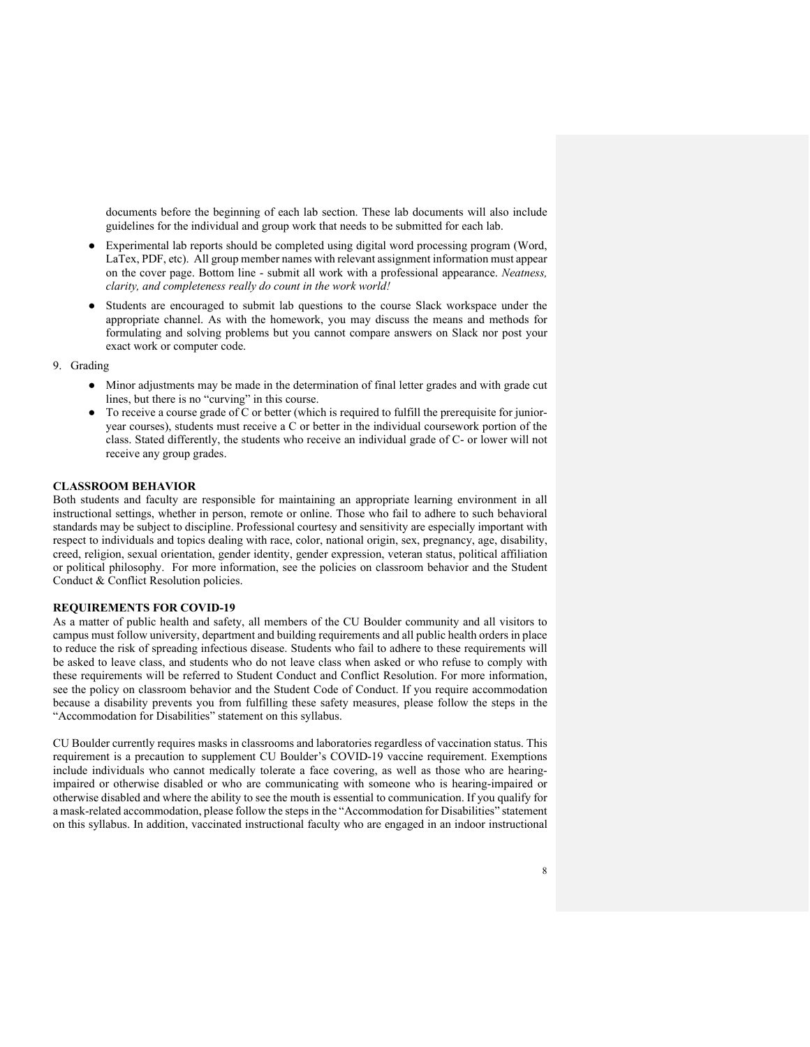documents before the beginning of each lab section. These lab documents will also include guidelines for the individual and group work that needs to be submitted for each lab.

- Experimental lab reports should be completed using digital word processing program (Word, LaTex, PDF, etc). All group member names with relevant assignment information must appear on the cover page. Bottom line - submit all work with a professional appearance. *Neatness, clarity, and completeness really do count in the work world!*
- Students are encouraged to submit lab questions to the course Slack workspace under the appropriate channel. As with the homework, you may discuss the means and methods for formulating and solving problems but you cannot compare answers on Slack nor post your exact work or computer code.

#### 9. Grading

- Minor adjustments may be made in the determination of final letter grades and with grade cut lines, but there is no "curving" in this course.
- To receive a course grade of C or better (which is required to fulfill the prerequisite for junioryear courses), students must receive a C or better in the individual coursework portion of the class. Stated differently, the students who receive an individual grade of C- or lower will not receive any group grades.

### **CLASSROOM BEHAVIOR**

Both students and faculty are responsible for maintaining an appropriate learning environment in all instructional settings, whether in person, remote or online. Those who fail to adhere to such behavioral standards may be subject to discipline. Professional courtesy and sensitivity are especially important with respect to individuals and topics dealing with race, color, national origin, sex, pregnancy, age, disability, creed, religion, sexual orientation, gender identity, gender expression, veteran status, political affiliation or political philosophy. For more information, see the policies on classroom behavior and the Student Conduct & Conflict Resolution policies.

### **REQUIREMENTS FOR COVID-19**

As a matter of public health and safety, all members of the CU Boulder community and all visitors to campus must follow university, department and building requirements and all public health orders in place to reduce the risk of spreading infectious disease. Students who fail to adhere to these requirements will be asked to leave class, and students who do not leave class when asked or who refuse to comply with these requirements will be referred to Student Conduct and Conflict Resolution. For more information, see the policy on classroom behavior and the Student Code of Conduct. If you require accommodation because a disability prevents you from fulfilling these safety measures, please follow the steps in the "Accommodation for Disabilities" statement on this syllabus.

CU Boulder currently requires masks in classrooms and laboratories regardless of vaccination status. This requirement is a precaution to supplement CU Boulder's COVID-19 vaccine requirement. Exemptions include individuals who cannot medically tolerate a face covering, as well as those who are hearingimpaired or otherwise disabled or who are communicating with someone who is hearing-impaired or otherwise disabled and where the ability to see the mouth is essential to communication. If you qualify for a mask-related accommodation, please follow the steps in the "Accommodation for Disabilities" statement on this syllabus. In addition, vaccinated instructional faculty who are engaged in an indoor instructional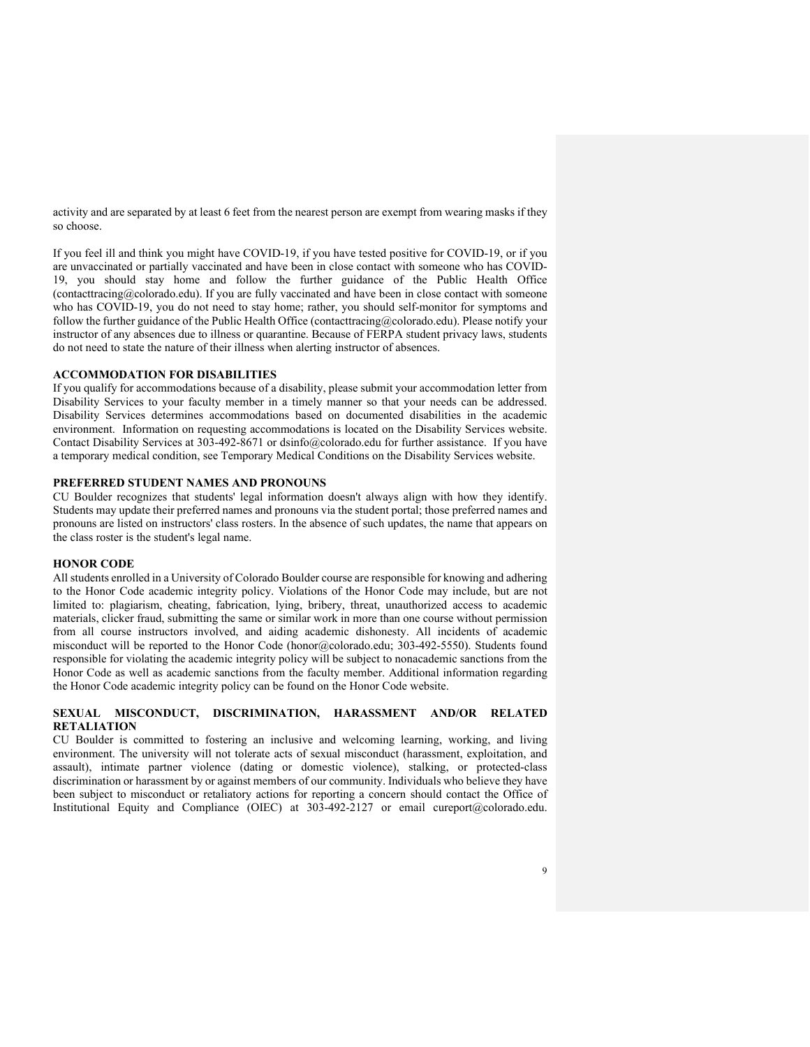activity and are separated by at least 6 feet from the nearest person are exempt from wearing masks if they so choose.

If you feel ill and think you might have COVID-19, if you have tested positive for COVID-19, or if you are unvaccinated or partially vaccinated and have been in close contact with someone who has COVID-19, you should stay home and follow the further guidance of the Public Health Office (contacttracing@colorado.edu). If you are fully vaccinated and have been in close contact with someone who has COVID-19, you do not need to stay home; rather, you should self-monitor for symptoms and follow the further guidance of the Public Health Office (contacttracing@colorado.edu). Please notify your instructor of any absences due to illness or quarantine. Because of FERPA student privacy laws, students do not need to state the nature of their illness when alerting instructor of absences.

### **ACCOMMODATION FOR DISABILITIES**

If you qualify for accommodations because of a disability, please submit your accommodation letter from Disability Services to your faculty member in a timely manner so that your needs can be addressed. Disability Services determines accommodations based on documented disabilities in the academic environment. Information on requesting accommodations is located on the Disability Services website. Contact Disability Services at 303-492-8671 or dsinfo@colorado.edu for further assistance. If you have a temporary medical condition, see Temporary Medical Conditions on the Disability Services website.

### **PREFERRED STUDENT NAMES AND PRONOUNS**

CU Boulder recognizes that students' legal information doesn't always align with how they identify. Students may update their preferred names and pronouns via the student portal; those preferred names and pronouns are listed on instructors' class rosters. In the absence of such updates, the name that appears on the class roster is the student's legal name.

#### **HONOR CODE**

All students enrolled in a University of Colorado Boulder course are responsible for knowing and adhering to the Honor Code academic integrity policy. Violations of the Honor Code may include, but are not limited to: plagiarism, cheating, fabrication, lying, bribery, threat, unauthorized access to academic materials, clicker fraud, submitting the same or similar work in more than one course without permission from all course instructors involved, and aiding academic dishonesty. All incidents of academic misconduct will be reported to the Honor Code (honor@colorado.edu; 303-492-5550). Students found responsible for violating the academic integrity policy will be subject to nonacademic sanctions from the Honor Code as well as academic sanctions from the faculty member. Additional information regarding the Honor Code academic integrity policy can be found on the Honor Code website.

# **SEXUAL MISCONDUCT, DISCRIMINATION, HARASSMENT AND/OR RELATED RETALIATION**

CU Boulder is committed to fostering an inclusive and welcoming learning, working, and living environment. The university will not tolerate acts of sexual misconduct (harassment, exploitation, and assault), intimate partner violence (dating or domestic violence), stalking, or protected-class discrimination or harassment by or against members of our community. Individuals who believe they have been subject to misconduct or retaliatory actions for reporting a concern should contact the Office of Institutional Equity and Compliance (OIEC) at 303-492-2127 or email cureport@colorado.edu.